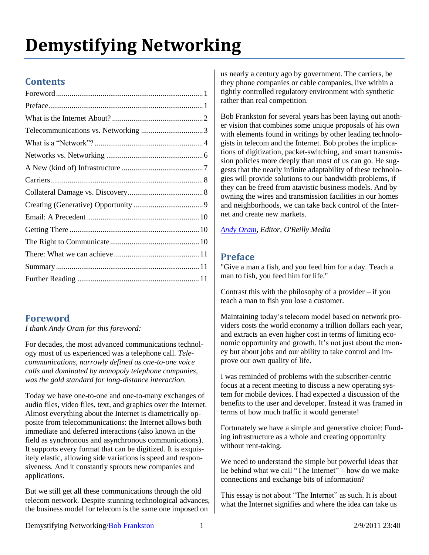# **Demystifying Networking**

# **Contents**

# <span id="page-0-0"></span>**Foreword**

*I thank Andy Oram for this foreword:*

For decades, the most advanced communications technology most of us experienced was a telephone call. *Telecommunications, narrowly defined as one-to-one voice calls and dominated by monopoly telephone companies, was the gold standard for long-distance interaction.*

Today we have one-to-one and one-to-many exchanges of audio files, video files, text, and graphics over the Internet. Almost everything about the Internet is diametrically opposite from telecommunications: the Internet allows both immediate and deferred interactions (also known in the field as synchronous and asynchronous communications). It supports every format that can be digitized. It is exquisitely elastic, allowing side variations is speed and responsiveness. And it constantly sprouts new companies and applications.

But we still get all these communications through the old telecom network. Despite stunning technological advances, the business model for telecom is the same one imposed on

us nearly a century ago by government. The carriers, be they phone companies or cable companies, live within a tightly controlled regulatory environment with synthetic rather than real competition.

Bob Frankston for several years has been laying out another vision that combines some unique proposals of his own with elements found in writings by other leading technologists in telecom and the Internet. Bob probes the implications of digitization, packet-switching, and smart transmission policies more deeply than most of us can go. He suggests that the nearly infinite adaptability of these technologies will provide solutions to our bandwidth problems, if they can be freed from atavistic business models. And by owning the wires and transmission facilities in our homes and neighborhoods, we can take back control of the Internet and create new markets.

*[Andy Oram,](http://radar.oreilly.com/andyo/) Editor, O'Reilly Media*

# <span id="page-0-1"></span>**Preface**

"Give a man a fish, and you feed him for a day. Teach a man to fish, you feed him for life."

Contrast this with the philosophy of a provider – if you teach a man to fish you lose a customer.

Maintaining today's telecom model based on network providers costs the world economy a trillion dollars each year, and extracts an even higher cost in terms of limiting economic opportunity and growth. It's not just about the money but about jobs and our ability to take control and improve our own quality of life.

I was reminded of problems with the subscriber-centric focus at a recent meeting to discuss a new operating system for mobile devices. I had expected a discussion of the benefits to the user and developer. Instead it was framed in terms of how much traffic it would generate!

Fortunately we have a simple and generative choice: Funding infrastructure as a whole and creating opportunity without rent-taking.

We need to understand the simple but powerful ideas that lie behind what we call "The Internet" – how do we make connections and exchange bits of information?

This essay is not about "The Internet" as such. It is about what the Internet signifies and where the idea can take us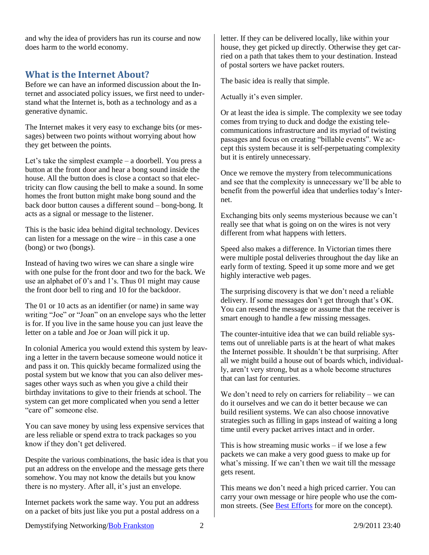and why the idea of providers has run its course and now does harm to the world economy.

## <span id="page-1-0"></span>**What is the Internet About?**

Before we can have an informed discussion about the Internet and associated policy issues, we first need to understand what the Internet is, both as a technology and as a generative dynamic.

The Internet makes it very easy to exchange bits (or messages) between two points without worrying about how they get between the points.

Let's take the simplest example – a doorbell. You press a button at the front door and hear a bong sound inside the house. All the button does is close a contact so that electricity can flow causing the bell to make a sound. In some homes the front button might make bong sound and the back door button causes a different sound – bong-bong. It acts as a signal or message to the listener.

This is the basic idea behind digital technology. Devices can listen for a message on the wire – in this case a one (bong) or two (bongs).

Instead of having two wires we can share a single wire with one pulse for the front door and two for the back. We use an alphabet of 0's and 1's. Thus 01 might may cause the front door bell to ring and 10 for the backdoor.

The 01 or 10 acts as an identifier (or name) in same way writing "Joe" or "Joan" on an envelope says who the letter is for. If you live in the same house you can just leave the letter on a table and Joe or Joan will pick it up.

In colonial America you would extend this system by leaving a letter in the tavern because someone would notice it and pass it on. This quickly became formalized using the postal system but we know that you can also deliver messages other ways such as when you give a child their birthday invitations to give to their friends at school. The system can get more complicated when you send a letter "care of" someone else.

You can save money by using less expensive services that are less reliable or spend extra to track packages so you know if they don't get delivered.

Despite the various combinations, the basic idea is that you put an address on the envelope and the message gets there somehow. You may not know the details but you know there is no mystery. After all, it's just an envelope.

Internet packets work the same way. You put an address on a packet of bits just like you put a postal address on a

letter. If they can be delivered locally, like within your house, they get picked up directly. Otherwise they get carried on a path that takes them to your destination. Instead of postal sorters we have packet routers.

The basic idea is really that simple.

Actually it's even simpler.

Or at least the idea is simple. The complexity we see today comes from trying to duck and dodge the existing telecommunications infrastructure and its myriad of twisting passages and focus on creating "billable events". We accept this system because it is self-perpetuating complexity but it is entirely unnecessary.

Once we remove the mystery from telecommunications and see that the complexity is unnecessary we'll be able to benefit from the powerful idea that underlies today's Internet.

Exchanging bits only seems mysterious because we can't really see that what is going on on the wires is not very different from what happens with letters.

Speed also makes a difference. In Victorian times there were multiple postal deliveries throughout the day like an early form of texting. Speed it up some more and we get highly interactive web pages.

The surprising discovery is that we don't need a reliable delivery. If some messages don't get through that's OK. You can resend the message or assume that the receiver is smart enough to handle a few missing messages.

The counter-intuitive idea that we can build reliable systems out of unreliable parts is at the heart of what makes the Internet possible. It shouldn't be that surprising. After all we might build a house out of boards which, individually, aren't very strong, but as a whole become structures that can last for centuries.

We don't need to rely on carriers for reliability – we can do it ourselves and we can do it better because we can build resilient systems. We can also choose innovative strategies such as filling in gaps instead of waiting a long time until every packet arrives intact and in order.

This is how streaming music works  $-$  if we lose a few packets we can make a very good guess to make up for what's missing. If we can't then we wait till the message gets resent.

This means we don't need a high priced carrier. You can carry your own message or hire people who use the common streets. (See [Best Efforts](http://rmf.vc/AmbientConnectivity?z=dm#BestEfforts) for more on the concept).

Demystifying Networking/Bob Frankston 2 2/9/2011 23:40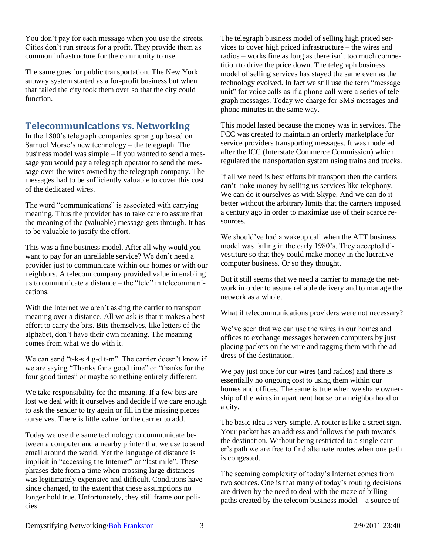You don't pay for each message when you use the streets. Cities don't run streets for a profit. They provide them as common infrastructure for the community to use.

The same goes for public transportation. The New York subway system started as a for-profit business but when that failed the city took them over so that the city could function.

# <span id="page-2-0"></span>**Telecommunications vs. Networking**

In the 1800's telegraph companies sprang up based on Samuel Morse's new technology – the telegraph. The business model was simple – if you wanted to send a message you would pay a telegraph operator to send the message over the wires owned by the telegraph company. The messages had to be sufficiently valuable to cover this cost of the dedicated wires.

The word "communications" is associated with carrying meaning. Thus the provider has to take care to assure that the meaning of the (valuable) message gets through. It has to be valuable to justify the effort.

This was a fine business model. After all why would you want to pay for an unreliable service? We don't need a provider just to communicate within our homes or with our neighbors. A telecom company provided value in enabling us to communicate a distance – the "tele" in telecommunications.

With the Internet we aren't asking the carrier to transport meaning over a distance. All we ask is that it makes a best effort to carry the bits. Bits themselves, like letters of the alphabet, don't have their own meaning. The meaning comes from what we do with it.

We can send "t-k-s 4 g-d t-m". The carrier doesn't know if we are saying "Thanks for a good time" or "thanks for the four good times" or maybe something entirely different.

We take responsibility for the meaning. If a few bits are lost we deal with it ourselves and decide if we care enough to ask the sender to try again or fill in the missing pieces ourselves. There is little value for the carrier to add.

Today we use the same technology to communicate between a computer and a nearby printer that we use to send email around the world. Yet the language of distance is implicit in "accessing the Internet" or "last mile". These phrases date from a time when crossing large distances was legitimately expensive and difficult. Conditions have since changed, to the extent that these assumptions no longer hold true. Unfortunately, they still frame our policies.

The telegraph business model of selling high priced services to cover high priced infrastructure – the wires and radios – works fine as long as there isn't too much competition to drive the price down. The telegraph business model of selling services has stayed the same even as the technology evolved. In fact we still use the term "message unit" for voice calls as if a phone call were a series of telegraph messages. Today we charge for SMS messages and phone minutes in the same way.

This model lasted because the money was in services. The FCC was created to maintain an orderly marketplace for service providers transporting messages. It was modeled after the ICC (Interstate Commerce Commission) which regulated the transportation system using trains and trucks.

If all we need is best efforts bit transport then the carriers can't make money by selling us services like telephony. We can do it ourselves as with Skype. And we can do it better without the arbitrary limits that the carriers imposed a century ago in order to maximize use of their scarce resources.

We should've had a wakeup call when the ATT business model was failing in the early 1980's. They accepted divestiture so that they could make money in the lucrative computer business. Or so they thought.

But it still seems that we need a carrier to manage the network in order to assure reliable delivery and to manage the network as a whole.

What if telecommunications providers were not necessary?

We've seen that we can use the wires in our homes and offices to exchange messages between computers by just placing packets on the wire and tagging them with the address of the destination.

We pay just once for our wires (and radios) and there is essentially no ongoing cost to using them within our homes and offices. The same is true when we share ownership of the wires in apartment house or a neighborhood or a city.

The basic idea is very simple. A router is like a street sign. Your packet has an address and follows the path towards the destination. Without being restricted to a single carrier's path we are free to find alternate routes when one path is congested.

The seeming complexity of today's Internet comes from two sources. One is that many of today's routing decisions are driven by the need to deal with the maze of billing paths created by the telecom business model – a source of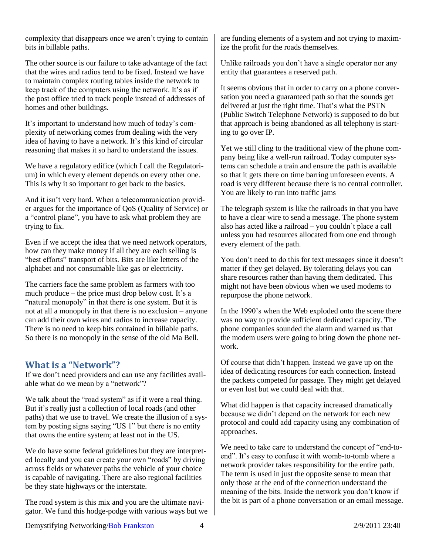complexity that disappears once we aren't trying to contain bits in billable paths.

The other source is our failure to take advantage of the fact that the wires and radios tend to be fixed. Instead we have to maintain complex routing tables inside the network to keep track of the computers using the network. It's as if the post office tried to track people instead of addresses of homes and other buildings.

It's important to understand how much of today's complexity of networking comes from dealing with the very idea of having to have a network. It's this kind of circular reasoning that makes it so hard to understand the issues.

We have a regulatory edifice (which I call the Regulatorium) in which every element depends on every other one. This is why it so important to get back to the basics.

And it isn't very hard. When a telecommunication provider argues for the importance of QoS (Quality of Service) or a "control plane", you have to ask what problem they are trying to fix.

Even if we accept the idea that we need network operators, how can they make money if all they are each selling is "best efforts" transport of bits. Bits are like letters of the alphabet and not consumable like gas or electricity.

The carriers face the same problem as farmers with too much produce – the price must drop below cost. It's a "natural monopoly" in that there is one system. But it is not at all a monopoly in that there is no exclusion – anyone can add their own wires and radios to increase capacity. There is no need to keep bits contained in billable paths. So there is no monopoly in the sense of the old Ma Bell.

## <span id="page-3-0"></span>**What is a "Network"?**

If we don't need providers and can use any facilities available what do we mean by a "network"?

We talk about the "road system" as if it were a real thing. But it's really just a collection of local roads (and other paths) that we use to travel. We create the illusion of a system by posting signs saying "US 1" but there is no entity that owns the entire system; at least not in the US.

We do have some federal guidelines but they are interpreted locally and you can create your own "roads" by driving across fields or whatever paths the vehicle of your choice is capable of navigating. There are also regional facilities be they state highways or the interstate.

The road system is this mix and you are the ultimate navigator. We fund this hodge-podge with various ways but we

are funding elements of a system and not trying to maximize the profit for the roads themselves.

Unlike railroads you don't have a single operator nor any entity that guarantees a reserved path.

It seems obvious that in order to carry on a phone conversation you need a guaranteed path so that the sounds get delivered at just the right time. That's what the PSTN (Public Switch Telephone Network) is supposed to do but that approach is being abandoned as all telephony is starting to go over IP.

Yet we still cling to the traditional view of the phone company being like a well-run railroad. Today computer systems can schedule a train and ensure the path is available so that it gets there on time barring unforeseen events. A road is very different because there is no central controller. You are likely to run into traffic jams

The telegraph system is like the railroads in that you have to have a clear wire to send a message. The phone system also has acted like a railroad – you couldn't place a call unless you had resources allocated from one end through every element of the path.

You don't need to do this for text messages since it doesn't matter if they get delayed. By tolerating delays you can share resources rather than having them dedicated. This might not have been obvious when we used modems to repurpose the phone network.

In the 1990's when the Web exploded onto the scene there was no way to provide sufficient dedicated capacity. The phone companies sounded the alarm and warned us that the modem users were going to bring down the phone network.

Of course that didn't happen. Instead we gave up on the idea of dedicating resources for each connection. Instead the packets competed for passage. They might get delayed or even lost but we could deal with that.

What did happen is that capacity increased dramatically because we didn't depend on the network for each new protocol and could add capacity using any combination of approaches.

We need to take care to understand the concept of "end-toend". It's easy to confuse it with womb-to-tomb where a network provider takes responsibility for the entire path. The term is used in just the opposite sense to mean that only those at the end of the connection understand the meaning of the bits. Inside the network you don't know if the bit is part of a phone conversation or an email message.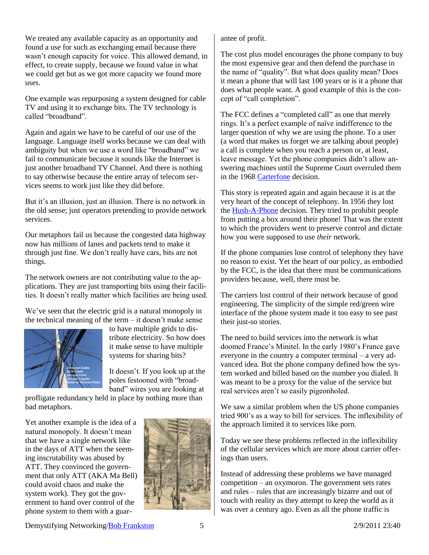We treated any available capacity as an opportunity and found a use for such as exchanging email because there wasn't enough capacity for voice. This allowed demand, in effect, to create supply, because we found value in what we could get but as we got more capacity we found more uses.

One example was repurposing a system designed for cable TV and using it to exchange bits. The TV technology is called "broadband".

Again and again we have to be careful of our use of the language. Language itself works because we can deal with ambiguity but when we use a word like "broadband" we fail to communicate because it sounds like the Internet is just another broadband TV Channel. And there is nothing to say otherwise because the entire array of telecom services seems to work just like they did before.

But it's an illusion, just an illusion. There is no network in the old sense; just operators pretending to provide network services.

Our metaphors fail us because the congested data highway now has millions of lanes and packets tend to make it through just fine. We don't really have cars, bits are not things.

The network owners are not contributing value to the applications. They are just transporting bits using their facilities. It doesn't really matter which facilities are being used.

We've seen that the electric grid is a natural monopoly in the technical meaning of the term – it doesn't make sense



to have multiple grids to distribute electricity. So how does it make sense to have multiple systems for sharing bits?

It doesn't. If you look up at the poles festooned with "broadband" wires you are looking at

profligate redundancy held in place by nothing more than bad metaphors.

Yet another example is the idea of a natural monopoly. It doesn't mean that we have a single network like in the days of ATT when the seeming inscrutability was abused by ATT. They convinced the government that only ATT (AKA Ma Bell) could avoid chaos and make the system work). They got the government to hand over control of the phone system to them with a guar-



antee of profit.

The cost plus model encourages the phone company to buy the most expensive gear and then defend the purchase in the name of "quality". But what does quality mean? Does it mean a phone that will last 100 years or is it a phone that does what people want. A good example of this is the concept of "call completion".

The FCC defines a "completed call" as one that merely rings. It's a perfect example of naïve indifference to the larger question of why we are using the phone. To a user (a word that makes us forget we are talking about people) a call is complete when you reach a person or, at least, leave message. Yet the phone companies didn't allow answering machines until the Supreme Court overruled them in the 1968 [Carterfone](http://en.wikipedia.org/wiki/Carterfone) decision.

This story is repeated again and again because it is at the very heart of the concept of telephony. In 1956 they lost the [Hush-A-Phone](http://en.wikipedia.org/wiki/Hush-A-Phone_v._United_States) decision. They tried to prohibit people from putting a box around their phone! That was the extent to which the providers went to preserve control and dictate how you were supposed to use *their* network.

If the phone companies lose control of telephony they have no reason to exist. Yet the heart of our policy, as embodied by the FCC, is the idea that there must be communications providers because, well, there must be.

The carriers lost control of their network because of good engineering. The simplicity of the simple red/green wire interface of the phone system made it too easy to see past their just-so stories.

The need to build services into the network is what doomed France's Minitel. In the early 1980's France gave everyone in the country a computer terminal – a very advanced idea. But the phone company defined how the system worked and billed based on the number you dialed. It was meant to be a proxy for the value of the service but real services aren't so easily pigeonholed.

We saw a similar problem when the US phone companies tried 900's as a way to bill for services. The inflexibility of the approach limited it to services like porn.

Today we see these problems reflected in the inflexibility of the cellular services which are more about carrier offerings than users.

Instead of addressing these problems we have managed competition – an oxymoron. The government sets rates and rules – rules that are increasingly bizarre and out of touch with reality as they attempt to keep the world as it was over a century ago. Even as all the phone traffic is

Demystifying Networking/Bob Frankston 5 2/9/2011 23:40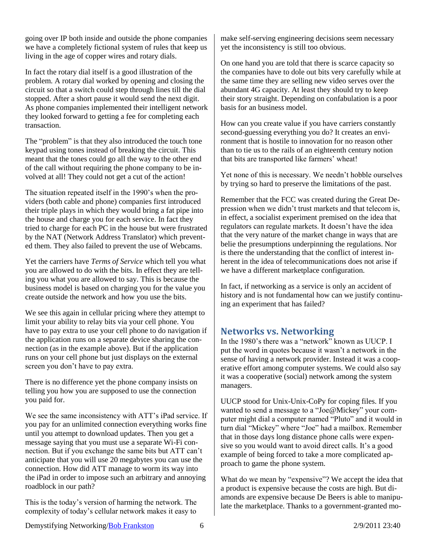going over IP both inside and outside the phone companies we have a completely fictional system of rules that keep us living in the age of copper wires and rotary dials.

In fact the rotary dial itself is a good illustration of the problem. A rotary dial worked by opening and closing the circuit so that a switch could step through lines till the dial stopped. After a short pause it would send the next digit. As phone companies implemented their intelligent network they looked forward to getting a fee for completing each transaction.

The "problem" is that they also introduced the touch tone keypad using tones instead of breaking the circuit. This meant that the tones could go all the way to the other end of the call without requiring the phone company to be involved at all! They could not get a cut of the action!

The situation repeated itself in the 1990's when the providers (both cable and phone) companies first introduced their triple plays in which they would bring a fat pipe into the house and charge you for each service. In fact they tried to charge for each PC in the house but were frustrated by the NAT (Network Address Translator) which prevented them. They also failed to prevent the use of Webcams.

Yet the carriers have *Terms of Service* which tell you what you are allowed to do with the bits. In effect they are telling you what you are allowed to say. This is because the business model is based on charging you for the value you create outside the network and how you use the bits.

We see this again in cellular pricing where they attempt to limit your ability to relay bits via your cell phone. You have to pay extra to use your cell phone to do navigation if the application runs on a separate device sharing the connection (as in the example above). But if the application runs on your cell phone but just displays on the external screen you don't have to pay extra.

There is no difference yet the phone company insists on telling you how you are supposed to use the connection you paid for.

We see the same inconsistency with ATT's iPad service. If you pay for an unlimited connection everything works fine until you attempt to download updates. Then you get a message saying that you must use a separate Wi-Fi connection. But if you exchange the same bits but ATT can't anticipate that you will use 20 megabytes you can use the connection. How did ATT manage to worm its way into the iPad in order to impose such an arbitrary and annoying roadblock in our path?

This is the today's version of harming the network. The complexity of today's cellular network makes it easy to

make self-serving engineering decisions seem necessary yet the inconsistency is still too obvious.

On one hand you are told that there is scarce capacity so the companies have to dole out bits very carefully while at the same time they are selling new video serves over the abundant 4G capacity. At least they should try to keep their story straight. Depending on confabulation is a poor basis for an business model.

How can you create value if you have carriers constantly second-guessing everything you do? It creates an environment that is hostile to innovation for no reason other than to tie us to the rails of an eighteenth century notion that bits are transported like farmers' wheat!

Yet none of this is necessary. We needn't hobble ourselves by trying so hard to preserve the limitations of the past.

Remember that the FCC was created during the Great Depression when we didn't trust markets and that telecom is, in effect, a socialist experiment premised on the idea that regulators can regulate markets. It doesn't have the idea that the very nature of the market change in ways that are belie the presumptions underpinning the regulations. Nor is there the understanding that the conflict of interest inherent in the idea of telecommunications does not arise if we have a different marketplace configuration.

In fact, if networking as a service is only an accident of history and is not fundamental how can we justify continuing an experiment that has failed?

## <span id="page-5-0"></span>**Networks vs. Networking**

In the 1980's there was a "network" known as UUCP. I put the word in quotes because it wasn't a network in the sense of having a network provider. Instead it was a cooperative effort among computer systems. We could also say it was a cooperative (social) network among the system managers.

UUCP stood for Unix-Unix-CoPy for coping files. If you wanted to send a message to a "Joe@Mickey" your computer might dial a computer named "Pluto" and it would in turn dial "Mickey" where "Joe" had a mailbox. Remember that in those days long distance phone calls were expensive so you would want to avoid direct calls. It's a good example of being forced to take a more complicated approach to game the phone system.

What do we mean by "expensive"? We accept the idea that a product is expensive because the costs are high. But diamonds are expensive because De Beers is able to manipulate the marketplace. Thanks to a government-granted mo-

Demystifying Networking/Bob Frankston 6 2/9/2011 23:40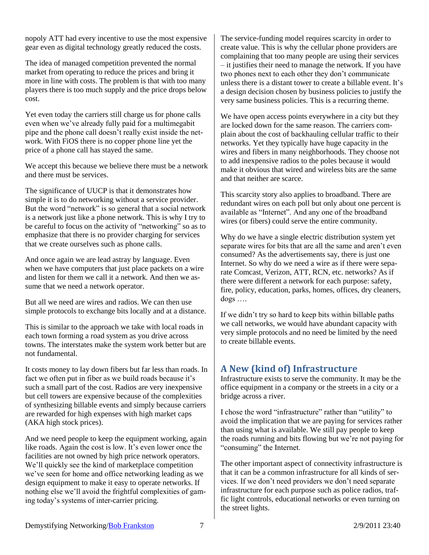nopoly ATT had every incentive to use the most expensive gear even as digital technology greatly reduced the costs.

The idea of managed competition prevented the normal market from operating to reduce the prices and bring it more in line with costs. The problem is that with too many players there is too much supply and the price drops below cost.

Yet even today the carriers still charge us for phone calls even when we've already fully paid for a multimegabit pipe and the phone call doesn't really exist inside the network. With FiOS there is no copper phone line yet the price of a phone call has stayed the same.

We accept this because we believe there must be a network and there must be services.

The significance of UUCP is that it demonstrates how simple it is to do networking without a service provider. But the word "network" is so general that a social network is a network just like a phone network. This is why I try to be careful to focus on the activity of "networking" so as to emphasize that there is no provider charging for services that we create ourselves such as phone calls.

And once again we are lead astray by language. Even when we have computers that just place packets on a wire and listen for them we call it a network. And then we assume that we need a network operator.

But all we need are wires and radios. We can then use simple protocols to exchange bits locally and at a distance.

This is similar to the approach we take with local roads in each town forming a road system as you drive across towns. The interstates make the system work better but are not fundamental.

It costs money to lay down fibers but far less than roads. In fact we often put in fiber as we build roads because it's such a small part of the cost. Radios are very inexpensive but cell towers are expensive because of the complexities of synthesizing billable events and simply because carriers are rewarded for high expenses with high market caps (AKA high stock prices).

And we need people to keep the equipment working, again like roads. Again the cost is low. It's even lower once the facilities are not owned by high price network operators. We'll quickly see the kind of marketplace competition we've seen for home and office networking leading as we design equipment to make it easy to operate networks. If nothing else we'll avoid the frightful complexities of gaming today's systems of inter-carrier pricing.

The service-funding model requires scarcity in order to create value. This is why the cellular phone providers are complaining that too many people are using their services – it justifies their need to manage the network. If you have two phones next to each other they don't communicate unless there is a distant tower to create a billable event. It's a design decision chosen by business policies to justify the very same business policies. This is a recurring theme.

We have open access points everywhere in a city but they are locked down for the same reason. The carriers complain about the cost of backhauling cellular traffic to their networks. Yet they typically have huge capacity in the wires and fibers in many neighborhoods. They choose not to add inexpensive radios to the poles because it would make it obvious that wired and wireless bits are the same and that neither are scarce.

This scarcity story also applies to broadband. There are redundant wires on each poll but only about one percent is available as "Internet". And any one of the broadband wires (or fibers) could serve the entire community.

Why do we have a single electric distribution system yet separate wires for bits that are all the same and aren't even consumed? As the advertisements say, there is just one Internet. So why do we need a wire as if there were separate Comcast, Verizon, ATT, RCN, etc. networks? As if there were different a network for each purpose: safety, fire, policy, education, parks, homes, offices, dry cleaners, dogs ….

If we didn't try so hard to keep bits within billable paths we call networks, we would have abundant capacity with very simple protocols and no need be limited by the need to create billable events.

# <span id="page-6-0"></span>**A New (kind of) Infrastructure**

Infrastructure exists to serve the community. It may be the office equipment in a company or the streets in a city or a bridge across a river.

I chose the word "infrastructure" rather than "utility" to avoid the implication that we are paying for services rather than using what is available. We still pay people to keep the roads running and bits flowing but we're not paying for "consuming" the Internet.

The other important aspect of connectivity infrastructure is that it can be a common infrastructure for all kinds of services. If we don't need providers we don't need separate infrastructure for each purpose such as police radios, traffic light controls, educational networks or even turning on the street lights.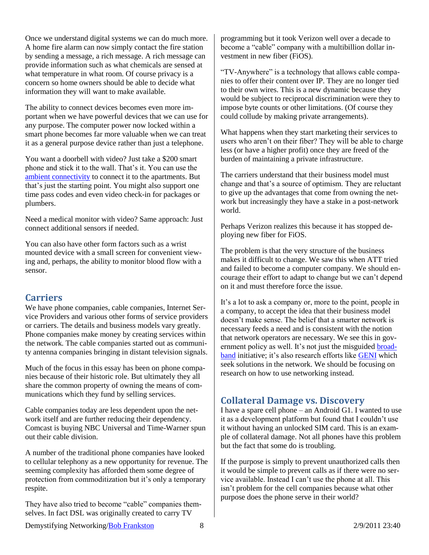Once we understand digital systems we can do much more. A home fire alarm can now simply contact the fire station by sending a message, a rich message. A rich message can provide information such as what chemicals are sensed at what temperature in what room. Of course privacy is a concern so home owners should be able to decide what information they will want to make available.

The ability to connect devices becomes even more important when we have powerful devices that we can use for any purpose. The computer power now locked within a smart phone becomes far more valuable when we can treat it as a general purpose device rather than just a telephone.

You want a doorbell with video? Just take a \$200 smart phone and stick it to the wall. That's it. You can use the [ambient connectivity](http://rmf.vc/AmbientConnectivity?z=dm2) to connect it to the apartments. But that's just the starting point. You might also support one time pass codes and even video check-in for packages or plumbers.

Need a medical monitor with video? Same approach: Just connect additional sensors if needed.

You can also have other form factors such as a wrist mounted device with a small screen for convenient viewing and, perhaps, the ability to monitor blood flow with a sensor.

## <span id="page-7-0"></span>**Carriers**

We have phone companies, cable companies, Internet Service Providers and various other forms of service providers or carriers. The details and business models vary greatly. Phone companies make money by creating services within the network. The cable companies started out as community antenna companies bringing in distant television signals.

Much of the focus in this essay has been on phone companies because of their historic role. But ultimately they all share the common property of owning the means of communications which they fund by selling services.

Cable companies today are less dependent upon the network itself and are further reducing their dependency. Comcast is buying NBC Universal and Time-Warner spun out their cable division.

A number of the traditional phone companies have looked to cellular telephony as a new opportunity for revenue. The seeming complexity has afforded them some degree of protection from commoditization but it's only a temporary respite.

They have also tried to become "cable" companies themselves. In fact DSL was originally created to carry TV

programming but it took Verizon well over a decade to become a "cable" company with a multibillion dollar investment in new fiber (FiOS).

"TV-Anywhere" is a technology that allows cable companies to offer their content over IP. They are no longer tied to their own wires. This is a new dynamic because they would be subject to reciprocal discrimination were they to impose byte counts or other limitations. (Of course they could collude by making private arrangements).

What happens when they start marketing their services to users who aren't on their fiber? They will be able to charge less (or have a higher profit) once they are freed of the burden of maintaining a private infrastructure.

The carriers understand that their business model must change and that's a source of optimism. They are reluctant to give up the advantages that come from owning the network but increasingly they have a stake in a post-network world.

Perhaps Verizon realizes this because it has stopped deploying new fiber for FiOS.

The problem is that the very structure of the business makes it difficult to change. We saw this when ATT tried and failed to become a computer company. We should encourage their effort to adapt to change but we can't depend on it and must therefore force the issue.

It's a lot to ask a company or, more to the point, people in a company, to accept the idea that their business model doesn't make sense. The belief that a smarter network is necessary feeds a need and is consistent with the notion that network operators are necessary. We see this in government policy as well. It's not just the misguided **broad**[band](http://rmf.vc/IPBR?z=dm) initiative; it's also research efforts like [GENI](http://rmf.vc/IPGENI?z=dm) which seek solutions in the network. We should be focusing on research on how to use networking instead.

# <span id="page-7-1"></span>**Collateral Damage vs. Discovery**

I have a spare cell phone – an Android G1. I wanted to use it as a development platform but found that I couldn't use it without having an unlocked SIM card. This is an example of collateral damage. Not all phones have this problem but the fact that some do is troubling.

If the purpose is simply to prevent unauthorized calls then it would be simple to prevent calls as if there were no service available. Instead I can't use the phone at all. This isn't problem for the cell companies because what other purpose does the phone serve in their world?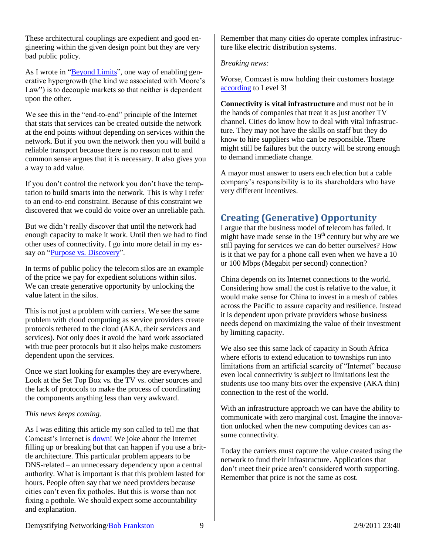These architectural couplings are expedient and good engineering within the given design point but they are very bad public policy.

As I wrote in ["Beyond Limits"](http://rmf.vc/BeyondLimits?z=dm), one way of enabling generative hypergrowth (the kind we associated with Moore's Law") is to decouple markets so that neither is dependent upon the other.

We see this in the "end-to-end" principle of the Internet that stats that services can be created outside the network at the end points without depending on services within the network. But if you own the network then you will build a reliable transport because there is no reason not to and common sense argues that it is necessary. It also gives you a way to add value.

If you don't control the network you don't have the temptation to build smarts into the network. This is why I refer to an end-to-end constraint. Because of this constraint we discovered that we could do voice over an unreliable path.

But we didn't really discover that until the network had enough capacity to make it work. Until then we had to find other uses of connectivity. I go into more detail in my es-say on ["Purpose vs. Discovery"](http://rmf.vc/PvD?z=dm).

In terms of public policy the telecom silos are an example of the price we pay for expedient solutions within silos. We can create generative opportunity by unlocking the value latent in the silos.

This is not just a problem with carriers. We see the same problem with cloud computing as service providers create protocols tethered to the cloud (AKA, their servicers and services). Not only does it avoid the hard work associated with true peer protocols but it also helps make customers dependent upon the services.

Once we start looking for examples they are everywhere. Look at the Set Top Box vs. the TV vs. other sources and the lack of protocols to make the process of coordinating the components anything less than very awkward.

#### *This news keeps coming.*

As I was editing this article my son called to tell me that Comcast's Internet is [down!](http://www.boston.com/news/local/breaking_news/2010/11/widespread_inte.html) We joke about the Internet filling up or breaking but that can happen if you use a brittle architecture. This particular problem appears to be DNS-related – an unnecessary dependency upon a central authority. What is important is that this problem lasted for hours. People often say that we need providers because cities can't even fix potholes. But this is worse than not fixing a pothole. We should expect some accountability and explanation.

Remember that many cities do operate complex infrastructure like electric distribution systems.

#### *Breaking news:*

Worse, Comcast is now holding their customers hostage [according](http://www.marketwatch.com/story/level-3-communications-issues-statement-concerning-comcasts-actions-2010-11-29?reflink=MW_news_stmp) to Level 3!

**Connectivity is vital infrastructure** and must not be in the hands of companies that treat it as just another TV channel. Cities do know how to deal with vital infrastructure. They may not have the skills on staff but they do know to hire suppliers who can be responsible. There might still be failures but the outcry will be strong enough to demand immediate change.

A mayor must answer to users each election but a cable company's responsibility is to its shareholders who have very different incentives.

# <span id="page-8-0"></span>**Creating (Generative) Opportunity**

I argue that the business model of telecom has failed. It might have made sense in the  $19<sup>th</sup>$  century but why are we still paying for services we can do better ourselves? How is it that we pay for a phone call even when we have a 10 or 100 Mbps (Megabit per second) connection?

China depends on its Internet connections to the world. Considering how small the cost is relative to the value, it would make sense for China to invest in a mesh of cables across the Pacific to assure capacity and resilience. Instead it is dependent upon private providers whose business needs depend on maximizing the value of their investment by limiting capacity.

We also see this same lack of capacity in South Africa where efforts to extend education to townships run into limitations from an artificial scarcity of "Internet" because even local connectivity is subject to limitations lest the students use too many bits over the expensive (AKA thin) connection to the rest of the world.

With an infrastructure approach we can have the ability to communicate with zero marginal cost. Imagine the innovation unlocked when the new computing devices can assume connectivity.

Today the carriers must capture the value created using the network to fund their infrastructure. Applications that don't meet their price aren't considered worth supporting. Remember that price is not the same as cost.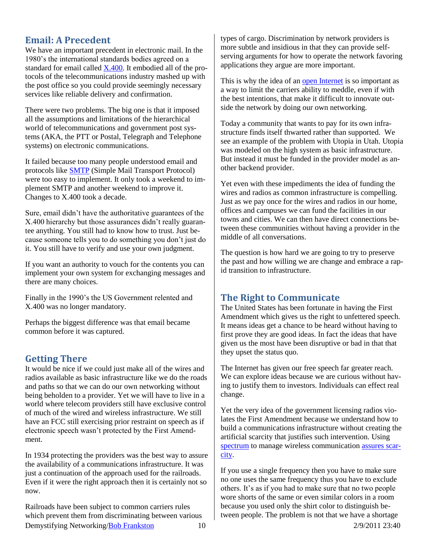# <span id="page-9-0"></span>**Email: A Precedent**

We have an important precedent in electronic mail. In the 1980's the international standards bodies agreed on a standard for email called [X.400.](http://en.wikipedia.org/wiki/X.400) It embodied all of the protocols of the telecommunications industry mashed up with the post office so you could provide seemingly necessary services like reliable delivery and confirmation.

There were two problems. The big one is that it imposed all the assumptions and limitations of the hierarchical world of telecommunications and government post systems (AKA, the PTT or Postal, Telegraph and Telephone systems) on electronic communications.

It failed because too many people understood email and protocols like [SMTP](http://rmf.vc/SATNSMTP?z=dm) (Simple Mail Transport Protocol) were too easy to implement. It only took a weekend to implement SMTP and another weekend to improve it. Changes to X.400 took a decade.

Sure, email didn't have the authoritative guarantees of the X.400 hierarchy but those assurances didn't really guarantee anything. You still had to know how to trust. Just because someone tells you to do something you don't just do it. You still have to verify and use your own judgment.

If you want an authority to vouch for the contents you can implement your own system for exchanging messages and there are many choices.

Finally in the 1990's the US Government relented and X.400 was no longer mandatory.

Perhaps the biggest difference was that email became common before it was captured.

## <span id="page-9-1"></span>**Getting There**

It would be nice if we could just make all of the wires and radios available as basic infrastructure like we do the roads and paths so that we can do our own networking without being beholden to a provider. Yet we will have to live in a world where telecom providers still have exclusive control of much of the wired and wireless infrastructure. We still have an FCC still exercising prior restraint on speech as if electronic speech wasn't protected by the First Amendment.

In 1934 protecting the providers was the best way to assure the availability of a communications infrastructure. It was just a continuation of the approach used for the railroads. Even if it were the right approach then it is certainly not so now.

Demystifying Networking/**Bob Frankston** 10 2/9/2011 23:40 Railroads have been subject to common carriers rules which prevent them from discriminating between various

types of cargo. Discrimination by network providers is more subtle and insidious in that they can provide selfserving arguments for how to operate the network favoring applications they argue are more important.

This is why the idea of an [open Internet](http://www.scribd.com/doc/41002510/On-Advancing-the-Open-Internet-by-Distinguishing-it-from-Specialized-Services) is so important as a way to limit the carriers ability to meddle, even if with the best intentions, that make it difficult to innovate outside the network by doing our own networking.

Today a community that wants to pay for its own infrastructure finds itself thwarted rather than supported. We see an example of the problem with Utopia in Utah. Utopia was modeled on the high system as basic infrastructure. But instead it must be funded in the provider model as another backend provider.

Yet even with these impediments the idea of funding the wires and radios as common infrastructure is compelling. Just as we pay once for the wires and radios in our home, offices and campuses we can fund the facilities in our towns and cities. We can then have direct connections between these communities without having a provider in the middle of all conversations.

The question is how hard we are going to try to preserve the past and how willing we are change and embrace a rapid transition to infrastructure.

## <span id="page-9-2"></span>**The Right to Communicate**

The United States has been fortunate in having the First Amendment which gives us the right to unfettered speech. It means ideas get a chance to be heard without having to first prove they are good ideas. In fact the ideas that have given us the most have been disruptive or bad in that that they upset the status quo.

The Internet has given our free speech far greater reach. We can explore ideas because we are curious without having to justify them to investors. Individuals can effect real change.

Yet the very idea of the government licensing radios violates the First Amendment because we understand how to build a communications infrastructure without creating the artificial scarcity that justifies such intervention. Using [spectrum](http://rmf.vc/SD?z=dm) to manage wireless communication [assures scar](http://rmf.vc/AssuringScarcity?z=dm)[city.](http://rmf.vc/AssuringScarcity?z=dm)

If you use a single frequency then you have to make sure no one uses the same frequency thus you have to exclude others. It's as if you had to make sure that no two people wore shorts of the same or even similar colors in a room because you used only the shirt color to distinguish between people. The problem is not that we have a shortage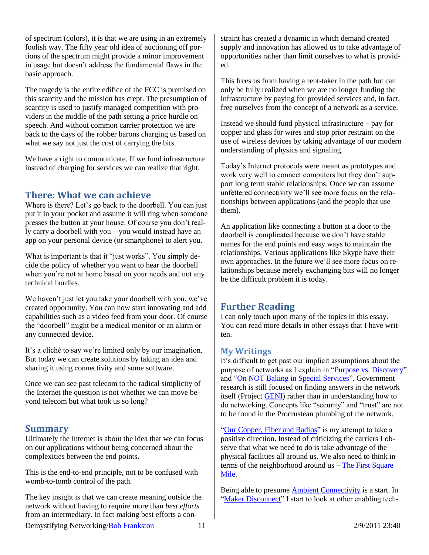of spectrum (colors), it is that we are using in an extremely foolish way. The fifty year old idea of auctioning off portions of the spectrum might provide a minor improvement in usage but doesn't address the fundamental flaws in the basic approach.

The tragedy is the entire edifice of the FCC is premised on this scarcity and the mission has crept. The presumption of scarcity is used to justify managed competition with providers in the middle of the path setting a price hurdle on speech. And without common carrier protection we are back to the days of the robber barons charging us based on what we say not just the cost of carrying the bits.

We have a right to communicate. If we fund infrastructure instead of charging for services we can realize that right.

## <span id="page-10-0"></span>**There: What we can achieve**

Where is there? Let's go back to the doorbell. You can just put it in your pocket and assume it will ring when someone presses the button at your house. Of course you don't really carry a doorbell with you – you would instead have an app on your personal device (or smartphone) to alert you.

What is important is that it "just works". You simply decide the policy of whether you want to hear the doorbell when you're not at home based on your needs and not any technical hurdles.

We haven't just let you take your doorbell with you, we've created opportunity. You can now start innovating and add capabilities such as a video feed from your door. Of course the "doorbell" might be a medical monitor or an alarm or any connected device.

It's a cliché to say we're limited only by our imagination. But today we can create solutions by taking an idea and sharing it using connectivity and some software.

Once we can see past telecom to the radical simplicity of the Internet the question is not whether we can move beyond telecom but what took us so long?

## <span id="page-10-1"></span>**Summary**

Ultimately the Internet is about the idea that we can focus on our applications without being concerned about the complexities between the end points.

This is the end-to-end principle, not to be confused with womb-to-tomb control of the path.

The key insight is that we can create meaning outside the network without having to require more than *best efforts* from an intermediary. In fact making best efforts a constraint has created a dynamic in which demand created supply and innovation has allowed us to take advantage of opportunities rather than limit ourselves to what is provided.

This frees us from having a rent-taker in the path but can only be fully realized when we are no longer funding the infrastructure by paying for provided services and, in fact, free ourselves from the concept of a network as a service.

Instead we should fund physical infrastructure – pay for copper and glass for wires and stop prior restraint on the use of wireless devices by taking advantage of our modern understanding of physics and signaling.

Today's Internet protocols were meant as prototypes and work very well to connect computers but they don't support long term stable relationships. Once we can assume unfettered connectivity we'll see more focus on the relationships between applications (and the people that use them).

An application like connecting a button at a door to the doorbell is complicated because we don't have stable names for the end points and easy ways to maintain the relationships. Various applications like Skype have their own approaches. In the future we'll see more focus on relationships because merely exchanging bits will no longer be the difficult problem it is today.

# <span id="page-10-2"></span>**Further Reading**

I can only touch upon many of the topics in this essay. You can read more details in other essays that I have written.

## **My Writings**

It's difficult to get past our implicit assumptions about the purpose of networks as I explain in ["Purpose vs. Discovery"](http://rmf.vc/PvD?z=dm3) and ["On NOT Baking in Special Services"](http://rmf.vc/Unbaked?z=dm3). Government research is still focused on finding answers in the network itself (Project [GENI\)](http://rmf.vc/IPGENI?z=dm3) rather than in understanding how to do networking. Concepts like "security" and "trust" are not to be found in the Procrustean plumbing of the network.

["Our Copper, Fiber and Radios"](http://rmf.vc/CFR?z=dm3) is my attempt to take a positive direction. Instead of criticizing the carriers I observe that what we need to do is take advantage of the physical facilities all around us. We also need to think in terms of the neighborhood around us – [The First Square](http://rmf.vc/SATNFSM?z=dm3)  [Mile.](http://rmf.vc/SATNFSM?z=dm3)

Being able to presume [Ambient Connectivity](http://rmf.vc/AmbientConnectivity?z=dm3) is a start. In ["Maker Disconnect"](http://rmf.vc/MakerDisconnect?z=dm3) I start to look at other enabling tech-